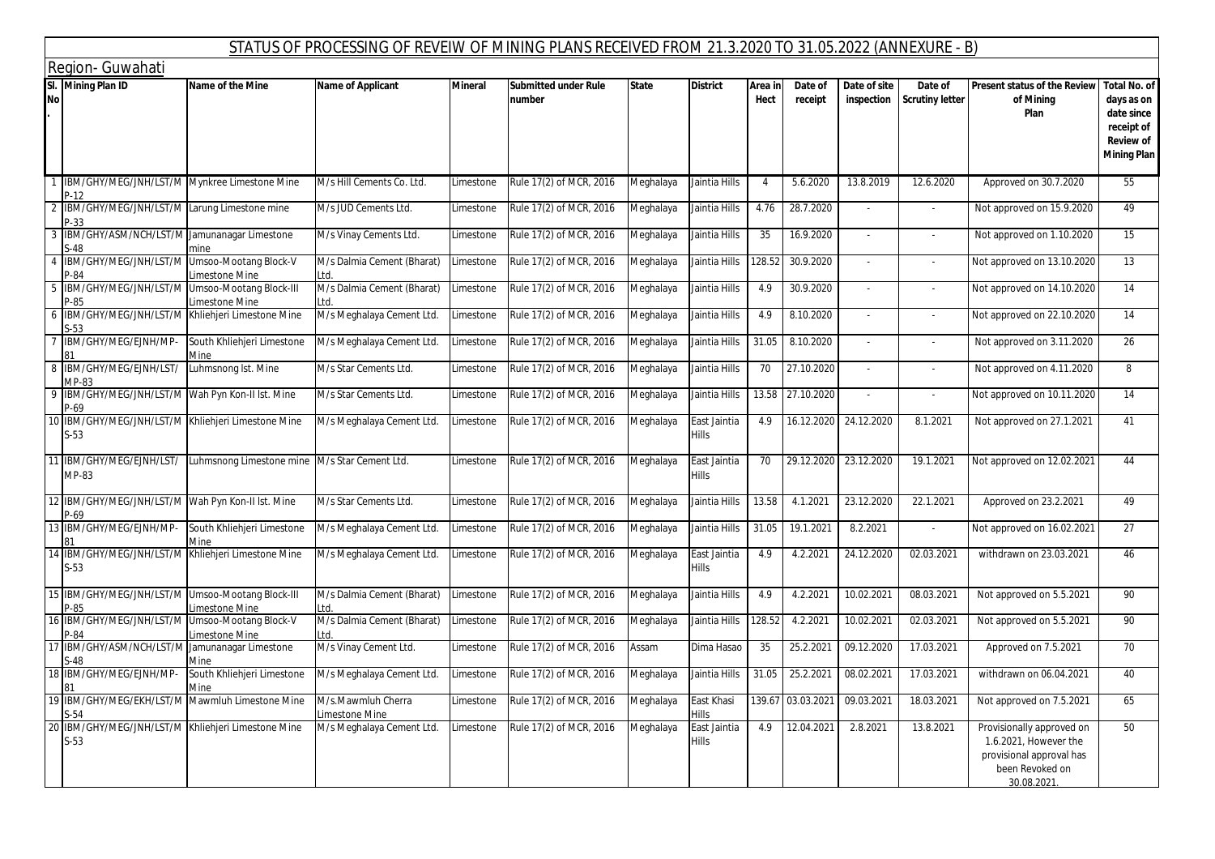|                  |                                                                    |                                                                     | STATUS OF PROCESSING OF REVEIW OF MINING PLANS RECEIVED FROM 21.3.2020 TO 31.05.2022 (ANNEXURE - B) |                |                                       |              |                       |                 |                    |                            |                                   |                                                                                                                 |                                                                                  |
|------------------|--------------------------------------------------------------------|---------------------------------------------------------------------|-----------------------------------------------------------------------------------------------------|----------------|---------------------------------------|--------------|-----------------------|-----------------|--------------------|----------------------------|-----------------------------------|-----------------------------------------------------------------------------------------------------------------|----------------------------------------------------------------------------------|
|                  | Region- Guwahati                                                   |                                                                     |                                                                                                     |                |                                       |              |                       |                 |                    |                            |                                   |                                                                                                                 |                                                                                  |
| SI.<br><b>No</b> | <b>Mining Plan ID</b>                                              | Name of the Mine                                                    | Name of Applicant                                                                                   | <b>Mineral</b> | <b>Submitted under Rule</b><br>number | <b>State</b> | <b>District</b>       | Area in<br>Hect | Date of<br>receipt | Date of site<br>inspection | Date of<br><b>Scrutiny letter</b> | Present status of the Review   Total No. of<br>of Mining<br>Plan                                                | days as on<br>date since<br>receipt of<br><b>Review of</b><br><b>Mining Plan</b> |
|                  | IBM/GHY/MEG/JNH/LST/M Mynkree Limestone Mine<br>P-12               |                                                                     | M/s Hill Cements Co. Ltd.                                                                           | Limestone      | Rule 17(2) of MCR, 2016               | Meghalaya    | Jaintia Hills         | $\overline{4}$  | 5.6.2020           | 13.8.2019                  | 12.6.2020                         | Approved on 30.7.2020                                                                                           | 55                                                                               |
|                  | IBM/GHY/MEG/JNH/LST/M Larung Limestone mine<br>'-33                |                                                                     | M/s JUD Cements Ltd.                                                                                | Limestone      | Rule 17(2) of MCR, 2016               | Meghalaya    | Jaintia Hills         | 4.76            | 28.7.2020          | $\sim$                     | $\blacksquare$                    | Not approved on 15.9.2020                                                                                       | 49                                                                               |
|                  | BM/GHY/ASM/NCH/LST/M Jamunanagar Limestone<br>$-48$                | mine                                                                | M/s Vinay Cements Ltd.                                                                              | Limestone      | Rule 17(2) of MCR, 2016               | Meghalaya    | Jaintia Hills         | 35              | 16.9.2020          | $\overline{\phantom{a}}$   | $\overline{\phantom{a}}$          | Not approved on 1.10.2020                                                                                       | 15                                                                               |
|                  | BM/GHY/MEG/JNH/LST/M Umsoo-Mootang Block-V<br>P-84                 | Limestone Mine                                                      | M/s Dalmia Cement (Bharat)<br>td.                                                                   | Limestone      | Rule 17(2) of MCR, 2016               | Meghalaya    | Jaintia Hills         | 128.52          | 30.9.2020          |                            |                                   | Not approved on 13.10.2020                                                                                      | 13                                                                               |
|                  | IBM/GHY/MEG/JNH/LST/M                                              | Umsoo-Mootang Block-III<br>Limestone Mine                           | M/s Dalmia Cement (Bharat)<br>td.                                                                   | Limestone      | Rule 17(2) of MCR, 2016               | Meghalaya    | Jaintia Hills         | 4.9             | 30.9.2020          | $\sim$                     | $\overline{\phantom{a}}$          | Not approved on 14.10.2020                                                                                      | 14                                                                               |
|                  | IBM/GHY/MEG/JNH/LST/M Khliehjeri Limestone Mine<br>$-53$           |                                                                     | M/s Meghalaya Cement Ltd.                                                                           | Limestone      | Rule 17(2) of MCR, 2016               | Meghalaya    | Jaintia Hills         | 4.9             | 8.10.2020          | $\sim$                     | $\sim$                            | Not approved on 22.10.2020                                                                                      | 14                                                                               |
|                  | BM/GHY/MEG/EJNH/MP-                                                | South Khliehjeri Limestone<br>Mine                                  | M/s Meghalaya Cement Ltd.                                                                           | Limestone      | Rule 17(2) of MCR, 2016               | Meghalaya    | Jaintia Hills         | 31.05           | 8.10.2020          |                            | $\overline{\phantom{a}}$          | Not approved on 3.11.2020                                                                                       | 26                                                                               |
|                  | IBM/GHY/MEG/EJNH/LST/<br>MP-83                                     | Luhmsnong Ist. Mine                                                 | M/s Star Cements Ltd.                                                                               | Limestone      | Rule 17(2) of MCR, 2016               | Meghalaya    | Jaintia Hills         | 70              | 27.10.2020         | $\sim$                     | ÷.                                | Not approved on 4.11.2020                                                                                       | 8                                                                                |
|                  | IBM/GHY/MEG/JNH/LST/M Wah Pyn Kon-II Ist. Mine<br><sup>2</sup> -69 |                                                                     | M/s Star Cements Ltd.                                                                               | Limestone      | Rule 17(2) of MCR, 2016               | Meghalaya    | Jaintia Hills         | 13.58           | 27.10.2020         | $\overline{\phantom{a}}$   | $\mathcal{L}$                     | Not approved on 10.11.2020                                                                                      | 14                                                                               |
|                  | IBM/GHY/MEG/JNH/LST/M Khliehjeri Limestone Mine<br>$S-53$          |                                                                     | M/s Meghalaya Cement Ltd.                                                                           | Limestone      | Rule 17(2) of MCR, 2016               | Meghalaya    | East Jaintia<br>Hills | 4.9             | 16.12.2020         | 24.12.2020                 | 8.1.2021                          | Not approved on 27.1.2021                                                                                       | 41                                                                               |
|                  | MP-83                                                              | IBM/GHY/MEG/EJNH/LST/ Luhmsnong Limestone mine M/s Star Cement Ltd. |                                                                                                     | Limestone      | Rule 17(2) of MCR, 2016               | Meghalaya    | East Jaintia<br>Hills | 70              |                    | 29.12.2020 23.12.2020      | 19.1.2021                         | Not approved on 12.02.2021                                                                                      | 44                                                                               |
|                  | IBM/GHY/MEG/JNH/LST/M Wah Pyn Kon-II Ist. Mine<br><sup>2</sup> -69 |                                                                     | M/s Star Cements Ltd.                                                                               | Limestone      | Rule 17(2) of MCR, 2016               | Meghalaya    | Jaintia Hills         | 13.58           | 4.1.2021           | 23.12.2020                 | 22.1.2021                         | Approved on 23.2.2021                                                                                           | 49                                                                               |
|                  | IBM/GHY/MEG/EJNH/MP-                                               | South Khliehjeri Limestone                                          | M/s Meghalaya Cement Ltd.                                                                           | Limestone      | Rule 17(2) of MCR, 2016               | Meghalaya    | Jaintia Hills         | 31.05           | 19.1.2021          | 8.2.2021                   |                                   | Not approved on 16.02.2021                                                                                      | 27                                                                               |
|                  | IBM/GHY/MEG/JNH/LST/M Khliehjeri Limestone Mine<br>$S-53$          |                                                                     | M/s Meghalaya Cement Ltd.                                                                           | Limestone      | Rule 17(2) of MCR, 2016               | Meghalaya    | East Jaintia<br>Hills | 4.9             | 4.2.2021           | 24.12.2020                 | 02.03.2021                        | withdrawn on 23.03.2021                                                                                         | 46                                                                               |
|                  | IBM/GHY/MEG/JNH/LST/M Umsoo-Mootang Block-III<br>2-85              | Limestone Mine                                                      | M/s Dalmia Cement (Bharat)<br>td.                                                                   | Limestone      | Rule 17(2) of MCR, 2016               | Meghalaya    | Jaintia Hills         | 4.9             | 4.2.2021           | 10.02.2021                 | 08.03.2021                        | Not approved on 5.5.2021                                                                                        | 90                                                                               |
|                  | IBM/GHY/MEG/JNH/LST/M Umsoo-Mootang Block-V<br>2-84                | imestone Mine                                                       | M/s Dalmia Cement (Bharat)<br>td.                                                                   | Limestone      | Rule 17(2) of MCR, 2016               | Meghalaya    | Jaintia Hills         | 128.52          | 4.2.2021           | 10.02.2021                 | 02.03.2021                        | Not approved on 5.5.2021                                                                                        | 90                                                                               |
|                  | IBM/GHY/ASM/NCH/LST/M<br>-48                                       | Jamunanagar Limestone<br>Mine                                       | M/s Vinay Cement Ltd.                                                                               | Limestone      | Rule 17(2) of MCR, 2016               | Assam        | Dima Hasao            | 35              | 25.2.2021          | 09.12.2020                 | 17.03.2021                        | Approved on 7.5.2021                                                                                            | 70                                                                               |
|                  | IBM/GHY/MEG/EJNH/MP-                                               | South Khliehjeri Limestone<br>Mine                                  | M/s Meghalaya Cement Ltd.                                                                           | Limestone      | Rule 17(2) of MCR, 2016               | Meghalaya    | Jaintia Hills         | 31.05           | 25.2.2021          | 08.02.2021                 | 17.03.2021                        | withdrawn on 06.04.2021                                                                                         | 40                                                                               |
|                  | 19 IBM/GHY/MEG/EKH/LST/M Mawmluh Limestone Mine<br>$S - 54$        |                                                                     | M/s.Mawmluh Cherra<br>Imestone Mine                                                                 | Limestone      | Rule 17(2) of MCR, 2016               | Meghalaya    | East Khasi<br>Hills   |                 | 139.67 03.03.2021  | 09.03.2021                 | 18.03.2021                        | Not approved on 7.5.2021                                                                                        | 65                                                                               |
| 20               | IBM/GHY/MEG/JNH/LST/M Khliehjeri Limestone Mine<br>S-53            |                                                                     | M/s Meghalaya Cement Ltd.                                                                           | Limestone      | Rule 17(2) of MCR, 2016               | Meghalaya    | East Jaintia<br>Hills | 4.9             | 12.04.2021         | 2.8.2021                   | 13.8.2021                         | Provisionally approved on<br>1.6.2021, However the<br>provisional approval has<br>been Revoked on<br>30.08.2021 | 50                                                                               |